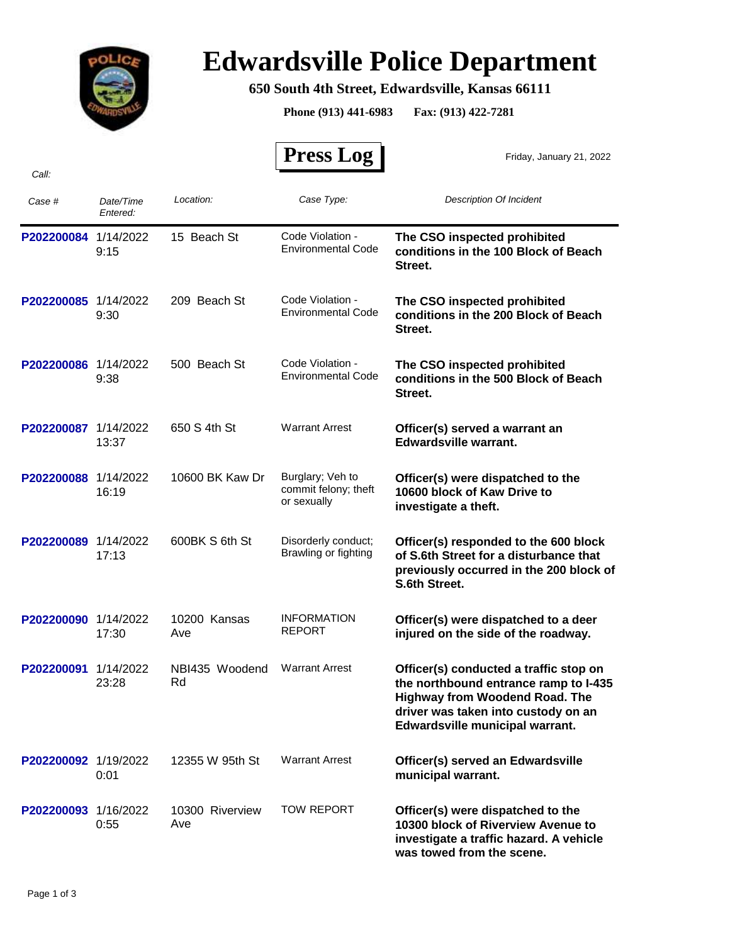

## **Edwardsville Police Department**

## **650 South 4th Street, Edwardsville, Kansas 66111**

**Phone (913) 441-6983 Fax: (913) 422-7281**

 $\mathbf{r}$ 

|                      |                       |                        | <b>Press Log</b>                                        | Friday, January 21, 2022                                                                                                                                                                           |
|----------------------|-----------------------|------------------------|---------------------------------------------------------|----------------------------------------------------------------------------------------------------------------------------------------------------------------------------------------------------|
| Call:                |                       |                        |                                                         |                                                                                                                                                                                                    |
| Case #               | Date/Time<br>Entered: | Location:              | Case Type:                                              | Description Of Incident                                                                                                                                                                            |
| P202200084 1/14/2022 | 9:15                  | 15 Beach St            | Code Violation -<br>Environmental Code                  | The CSO inspected prohibited<br>conditions in the 100 Block of Beach<br>Street.                                                                                                                    |
| P202200085 1/14/2022 | 9:30                  | 209 Beach St           | Code Violation -<br>Environmental Code                  | The CSO inspected prohibited<br>conditions in the 200 Block of Beach<br>Street.                                                                                                                    |
| P202200086 1/14/2022 | 9:38                  | 500 Beach St           | Code Violation -<br><b>Environmental Code</b>           | The CSO inspected prohibited<br>conditions in the 500 Block of Beach<br>Street.                                                                                                                    |
| P202200087           | 1/14/2022<br>13:37    | 650 S 4th St           | <b>Warrant Arrest</b>                                   | Officer(s) served a warrant an<br><b>Edwardsville warrant.</b>                                                                                                                                     |
| P202200088 1/14/2022 | 16:19                 | 10600 BK Kaw Dr        | Burglary; Veh to<br>commit felony; theft<br>or sexually | Officer(s) were dispatched to the<br>10600 block of Kaw Drive to<br>investigate a theft.                                                                                                           |
| P202200089           | 1/14/2022<br>17:13    | 600BK S 6th St         | Disorderly conduct;<br>Brawling or fighting             | Officer(s) responded to the 600 block<br>of S.6th Street for a disturbance that<br>previously occurred in the 200 block of<br>S.6th Street.                                                        |
| P202200090           | 1/14/2022<br>17:30    | 10200 Kansas<br>Ave    | <b>INFORMATION</b><br>REPORT                            | Officer(s) were dispatched to a deer<br>injured on the side of the roadway.                                                                                                                        |
| P202200091           | 1/14/2022<br>23:28    | NBI435 Woodend<br>Rd   | <b>Warrant Arrest</b>                                   | Officer(s) conducted a traffic stop on<br>the northbound entrance ramp to I-435<br><b>Highway from Woodend Road. The</b><br>driver was taken into custody on an<br>Edwardsville municipal warrant. |
| P202200092 1/19/2022 | 0:01                  | 12355 W 95th St        | <b>Warrant Arrest</b>                                   | Officer(s) served an Edwardsville<br>municipal warrant.                                                                                                                                            |
| P202200093 1/16/2022 | 0:55                  | 10300 Riverview<br>Ave | <b>TOW REPORT</b>                                       | Officer(s) were dispatched to the<br>10300 block of Riverview Avenue to<br>investigate a traffic hazard. A vehicle<br>was towed from the scene.                                                    |

Page 1 of 3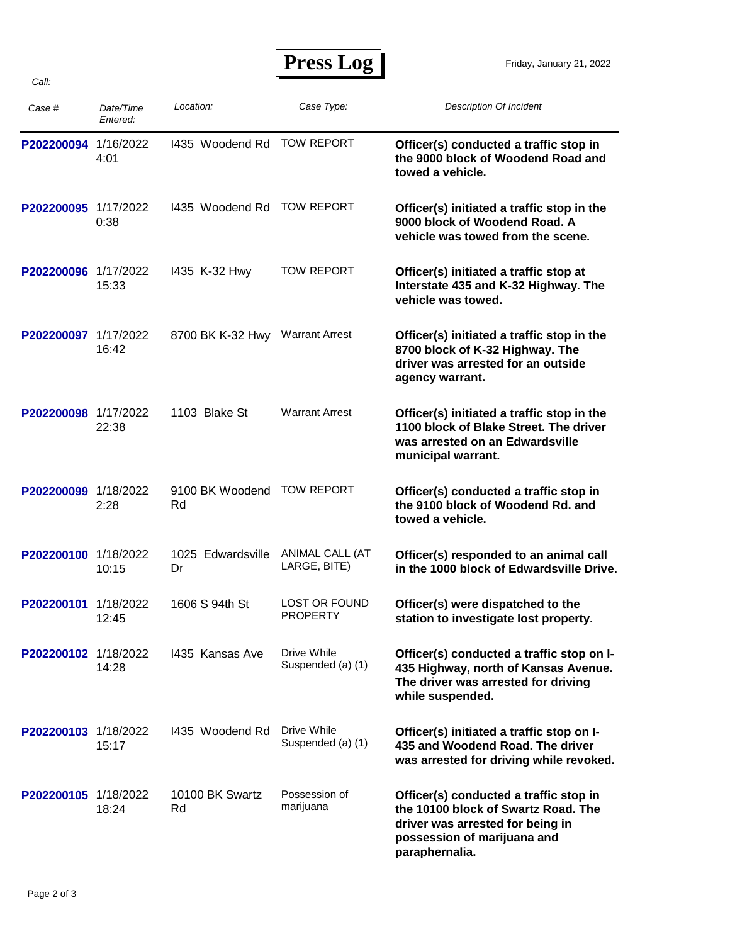| Case #               | Date/Time<br>Entered: | Location:               | Case Type:                       | <b>Description Of Incident</b>                                                                                                                                     |
|----------------------|-----------------------|-------------------------|----------------------------------|--------------------------------------------------------------------------------------------------------------------------------------------------------------------|
| P202200094           | 1/16/2022<br>4:01     | 1435 Woodend Rd         | <b>TOW REPORT</b>                | Officer(s) conducted a traffic stop in<br>the 9000 block of Woodend Road and<br>towed a vehicle.                                                                   |
| P202200095 1/17/2022 | 0:38                  | 1435 Woodend Rd         | <b>TOW REPORT</b>                | Officer(s) initiated a traffic stop in the<br>9000 block of Woodend Road. A<br>vehicle was towed from the scene.                                                   |
| P202200096 1/17/2022 | 15:33                 | 1435 K-32 Hwy           | TOW REPORT                       | Officer(s) initiated a traffic stop at<br>Interstate 435 and K-32 Highway. The<br>vehicle was towed.                                                               |
| P202200097           | 1/17/2022<br>16:42    | 8700 BK K-32 Hwy        | <b>Warrant Arrest</b>            | Officer(s) initiated a traffic stop in the<br>8700 block of K-32 Highway. The<br>driver was arrested for an outside<br>agency warrant.                             |
| P202200098 1/17/2022 | 22:38                 | 1103 Blake St           | <b>Warrant Arrest</b>            | Officer(s) initiated a traffic stop in the<br>1100 block of Blake Street. The driver<br>was arrested on an Edwardsville<br>municipal warrant.                      |
| P202200099 1/18/2022 | 2:28                  | 9100 BK Woodend<br>Rd   | <b>TOW REPORT</b>                | Officer(s) conducted a traffic stop in<br>the 9100 block of Woodend Rd. and<br>towed a vehicle.                                                                    |
| P202200100 1/18/2022 | 10:15                 | 1025 Edwardsville<br>Dr | ANIMAL CALL (AT<br>LARGE, BITE)  | Officer(s) responded to an animal call<br>in the 1000 block of Edwardsville Drive.                                                                                 |
| P202200101           | 1/18/2022<br>12:45    | 1606 S 94th St          | LOST OR FOUND<br>PROPERTY        | Officer(s) were dispatched to the<br>station to investigate lost property.                                                                                         |
| P202200102 1/18/2022 | 14:28                 | 1435 Kansas Ave         | Drive While<br>Suspended (a) (1) | Officer(s) conducted a traffic stop on I-<br>435 Highway, north of Kansas Avenue.<br>The driver was arrested for driving<br>while suspended.                       |
| P202200103 1/18/2022 | 15:17                 | 1435 Woodend Rd         | Drive While<br>Suspended (a) (1) | Officer(s) initiated a traffic stop on I-<br>435 and Woodend Road. The driver<br>was arrested for driving while revoked.                                           |
| P202200105 1/18/2022 | 18:24                 | 10100 BK Swartz<br>Rd   | Possession of<br>marijuana       | Officer(s) conducted a traffic stop in<br>the 10100 block of Swartz Road. The<br>driver was arrested for being in<br>possession of marijuana and<br>paraphernalia. |